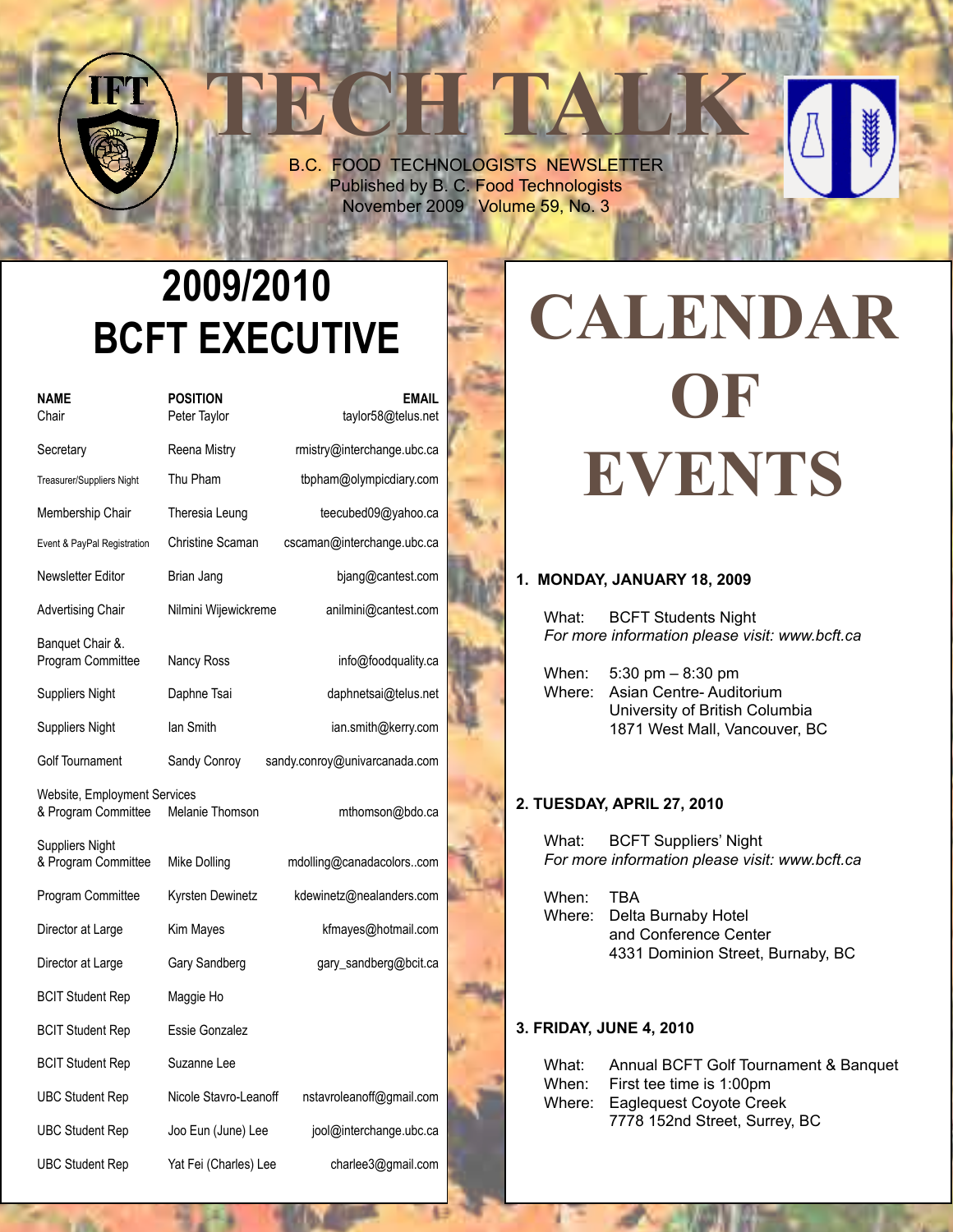**TECH TALK** B.C. FOOD TECHNOLOGISTS NEWSLETTER Published by B. C. Food Technologists November 2009 Volume 59, No. 3

# **2009/2010 BCFT EXECUTIVE**

| NAME<br>Chair                                       | <b>POSITION</b><br>Peter Taylor | <b>EMAIL</b><br>taylor58@telus.net |  |
|-----------------------------------------------------|---------------------------------|------------------------------------|--|
| Secretary                                           | Reena Mistry                    | rmistry@interchange.ubc.ca         |  |
| Treasurer/Suppliers Night                           | Thu Pham                        | tbpham@olympicdiary.com            |  |
| Membership Chair                                    | Theresia Leung                  | teecubed09@yahoo.ca                |  |
| Event & PayPal Registration                         | Christine Scaman                | cscaman@interchange.ubc.ca         |  |
| Newsletter Editor                                   | Brian Jang                      | bjang@cantest.com                  |  |
| Advertising Chair                                   | Nilmini Wijewickreme            | anilmini@cantest.com               |  |
| Banquet Chair &.<br>Program Committee               | Nancy Ross                      | info@foodquality.ca                |  |
| Suppliers Night                                     | Daphne Tsai                     | daphnetsai@telus.net               |  |
| <b>Suppliers Night</b>                              | lan Smith                       | ian.smith@kerry.com                |  |
| Golf Tournament                                     | Sandy Conroy                    | sandy.conroy@univarcanada.com      |  |
| Website, Employment Services<br>& Program Committee | Melanie Thomson                 | mthomson@bdo.ca                    |  |
| Suppliers Night<br>& Program Committee              | Mike Dolling                    | mdolling@canadacolorscom           |  |
| Program Committee                                   | Kyrsten Dewinetz                | kdewinetz@nealanders.com           |  |
| Director at Large                                   | Kim Mayes                       | kfmayes@hotmail.com                |  |
| Director at Large                                   | Gary Sandberg                   | gary_sandberg@bcit.ca              |  |
| <b>BCIT Student Rep</b>                             | Maggie Ho                       |                                    |  |
| <b>BCIT Student Rep</b>                             | Essie Gonzalez                  |                                    |  |
| <b>BCIT Student Rep</b>                             | Suzanne Lee                     |                                    |  |
| <b>UBC Student Rep</b>                              | Nicole Stavro-Leanoff           | nstavroleanoff@gmail.com           |  |
| <b>UBC Student Rep</b>                              | Joo Eun (June) Lee              | jool@interchange.ubc.ca            |  |
| <b>UBC Student Rep</b>                              | Yat Fei (Charles) Lee           | charlee3@gmail.com                 |  |

# **Calendar OF EVENTS**

### **1. Monday, January 18, 2009**

What: BCFT Students Night  *For more information please visit: www.bcft.ca*

 When: 5:30 pm – 8:30 pm Where: Asian Centre- Auditorium University of British Columbia 1871 West Mall, Vancouver, BC

### **2. Tuesday, April 27, 2010**

What: BCFT Suppliers' Night *For more information please visit: www.bcft.ca*

When: TBA Where: Delta Burnaby Hotel and Conference Center 4331 Dominion Street, Burnaby, BC

#### **3. Friday, June 4, 2010**

| What: | Annual BCFT Golf Tournament & Banquet |
|-------|---------------------------------------|
|       | When: First tee time is 1:00pm        |
|       | Where: Eagleguest Coyote Creek        |
|       | 7778 152nd Street, Surrey, BC         |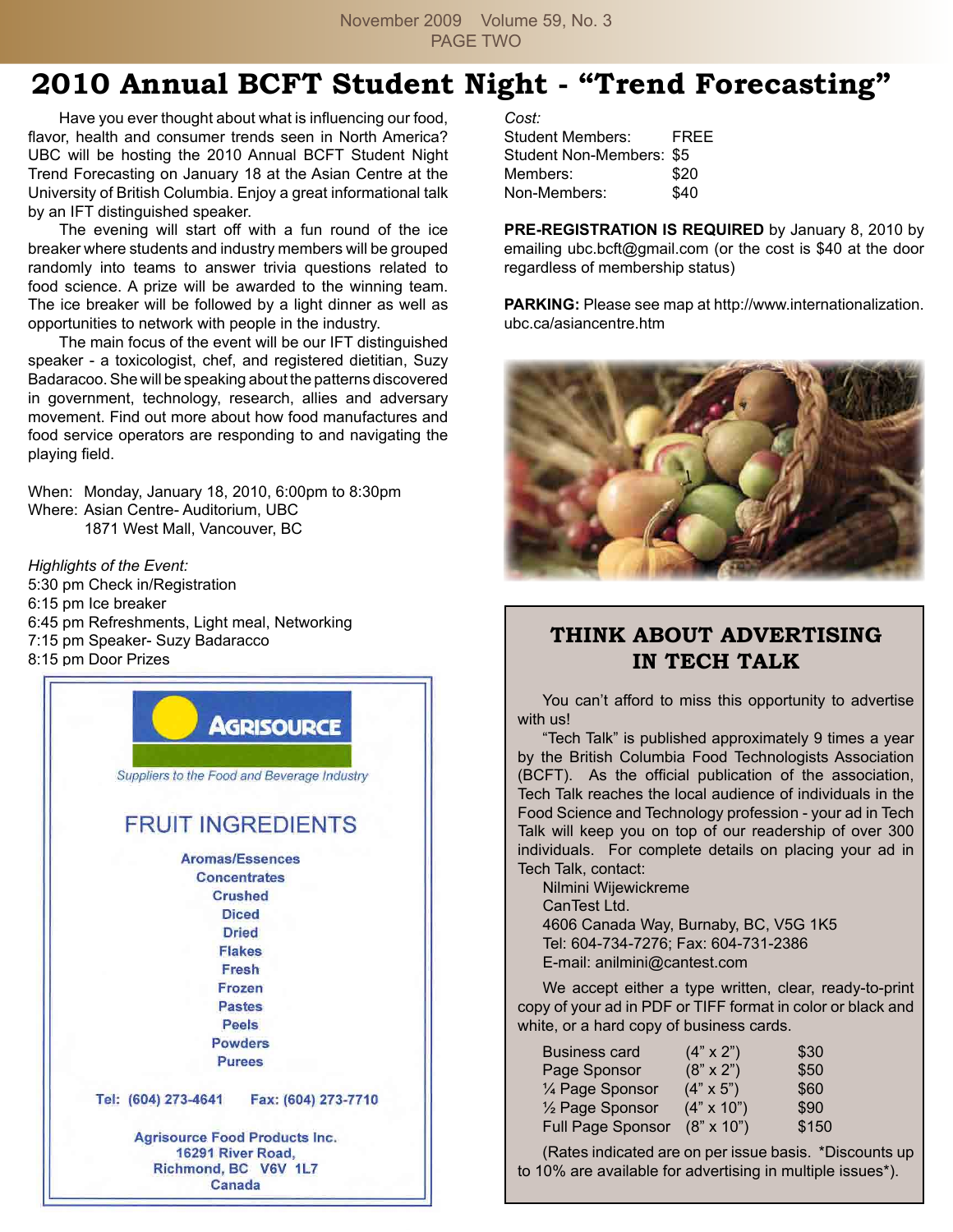November 2009 Volume 59, No. 3 PAGE TWO

### **2010 Annual BCFT Student Night - "Trend Forecasting"**

 Have you ever thought about what is influencing our food, flavor, health and consumer trends seen in North America? UBC will be hosting the 2010 Annual BCFT Student Night Trend Forecasting on January 18 at the Asian Centre at the University of British Columbia. Enjoy a great informational talk by an IFT distinguished speaker.

 The evening will start off with a fun round of the ice breaker where students and industry members will be grouped randomly into teams to answer trivia questions related to food science. A prize will be awarded to the winning team. The ice breaker will be followed by a light dinner as well as opportunities to network with people in the industry.

 The main focus of the event will be our IFT distinguished speaker - a toxicologist, chef, and registered dietitian, Suzy Badaracoo. She will be speaking about the patterns discovered in government, technology, research, allies and adversary movement. Find out more about how food manufactures and food service operators are responding to and navigating the playing field.

When: Monday, January 18, 2010, 6:00pm to 8:30pm Where: Asian Centre- Auditorium, UBC 1871 West Mall, Vancouver, BC

*Highlights of the Event:* 5:30 pm Check in/Registration 6:15 pm Ice breaker 6:45 pm Refreshments, Light meal, Networking 7:15 pm Speaker- Suzy Badaracco 8:15 pm Door Prizes



*Cost:*

| Student Members:         | FREE |
|--------------------------|------|
| Student Non-Members: \$5 |      |
| Members:                 | \$20 |
| Non-Members:             | \$40 |

**PRE-REGISTRATION IS REQUIRED** by January 8, 2010 by emailing ubc.bcft@gmail.com (or the cost is \$40 at the door regardless of membership status)

**Parking:** Please see map at http://www.internationalization. ubc.ca/asiancentre.htm



### **THINK ABOUT ADVERTISING IN TECH TALK**

 You can't afford to miss this opportunity to advertise with us!

 "Tech Talk" is published approximately 9 times a year by the British Columbia Food Technologists Association (BCFT). As the official publication of the association, Tech Talk reaches the local audience of individuals in the Food Science and Technology profession - your ad in Tech Talk will keep you on top of our readership of over 300 individuals. For complete details on placing your ad in Tech Talk, contact:

 Nilmini Wijewickreme CanTest Ltd. 4606 Canada Way, Burnaby, BC, V5G 1K5 Tel: 604-734-7276; Fax: 604-731-2386 E-mail: anilmini@cantest.com

We accept either a type written, clear, ready-to-print copy of your ad in PDF or TIFF format in color or black and white, or a hard copy of business cards.

| <b>Business card</b>         | $(4" \times 2")$  | \$30  |
|------------------------------|-------------------|-------|
| Page Sponsor                 | $(8" \times 2")$  | \$50  |
| 1/4 Page Sponsor             | $(4" \times 5")$  | \$60  |
| 1/ <sub>2</sub> Page Sponsor | $(4" \times 10")$ | \$90  |
| Full Page Sponsor            | $(8" \times 10")$ | \$150 |

 (Rates indicated are on per issue basis. \*Discounts up to 10% are available for advertising in multiple issues\*).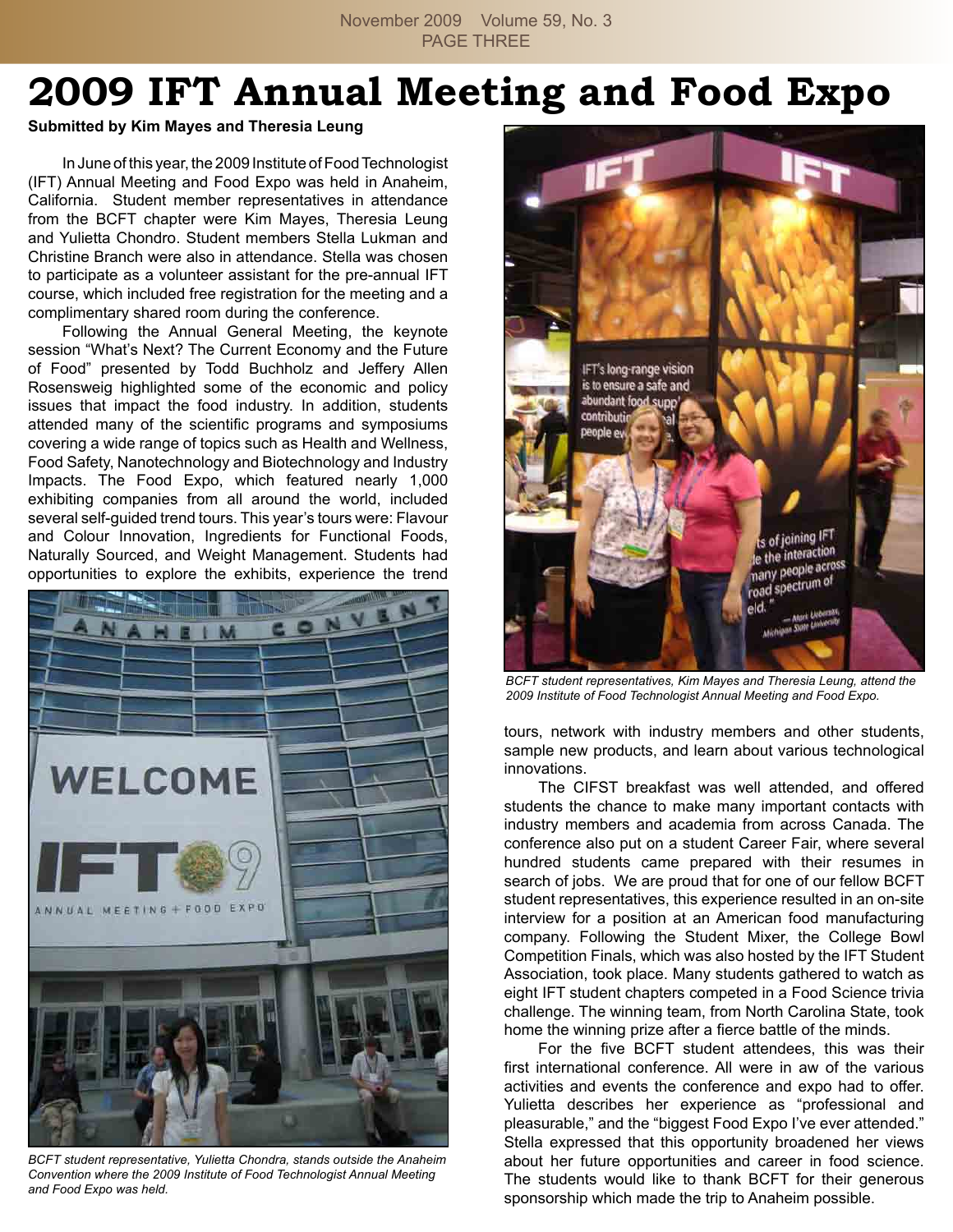November 2009 Volume 59, No. 3 PAGE THREE

# **2009 IFT Annual Meeting and Food Expo**

### **Submitted by Kim Mayes and Theresia Leung**

In June of this year, the 2009 Institute of Food Technologist (IFT) Annual Meeting and Food Expo was held in Anaheim, California. Student member representatives in attendance from the BCFT chapter were Kim Mayes, Theresia Leung and Yulietta Chondro. Student members Stella Lukman and Christine Branch were also in attendance. Stella was chosen to participate as a volunteer assistant for the pre-annual IFT course, which included free registration for the meeting and a complimentary shared room during the conference.

 Following the Annual General Meeting, the keynote session "What's Next? The Current Economy and the Future of Food" presented by Todd Buchholz and Jeffery Allen Rosensweig highlighted some of the economic and policy issues that impact the food industry. In addition, students attended many of the scientific programs and symposiums covering a wide range of topics such as Health and Wellness, Food Safety, Nanotechnology and Biotechnology and Industry Impacts. The Food Expo, which featured nearly 1,000 exhibiting companies from all around the world, included several self-guided trend tours. This year's tours were: Flavour and Colour Innovation, Ingredients for Functional Foods, Naturally Sourced, and Weight Management. Students had opportunities to explore the exhibits, experience the trend



*BCFT student representative, Yulietta Chondra, stands outside the Anaheim Convention where the 2009 Institute of Food Technologist Annual Meeting and Food Expo was held.*



*BCFT student representatives, Kim Mayes and Theresia Leung, attend the 2009 Institute of Food Technologist Annual Meeting and Food Expo.*

tours, network with industry members and other students, sample new products, and learn about various technological innovations.

 The CIFST breakfast was well attended, and offered students the chance to make many important contacts with industry members and academia from across Canada. The conference also put on a student Career Fair, where several hundred students came prepared with their resumes in search of jobs. We are proud that for one of our fellow BCFT student representatives, this experience resulted in an on-site interview for a position at an American food manufacturing company. Following the Student Mixer, the College Bowl Competition Finals, which was also hosted by the IFT Student Association, took place. Many students gathered to watch as eight IFT student chapters competed in a Food Science trivia challenge. The winning team, from North Carolina State, took home the winning prize after a fierce battle of the minds.

 For the five BCFT student attendees, this was their first international conference. All were in aw of the various activities and events the conference and expo had to offer. Yulietta describes her experience as "professional and pleasurable," and the "biggest Food Expo I've ever attended." Stella expressed that this opportunity broadened her views about her future opportunities and career in food science. The students would like to thank BCFT for their generous sponsorship which made the trip to Anaheim possible.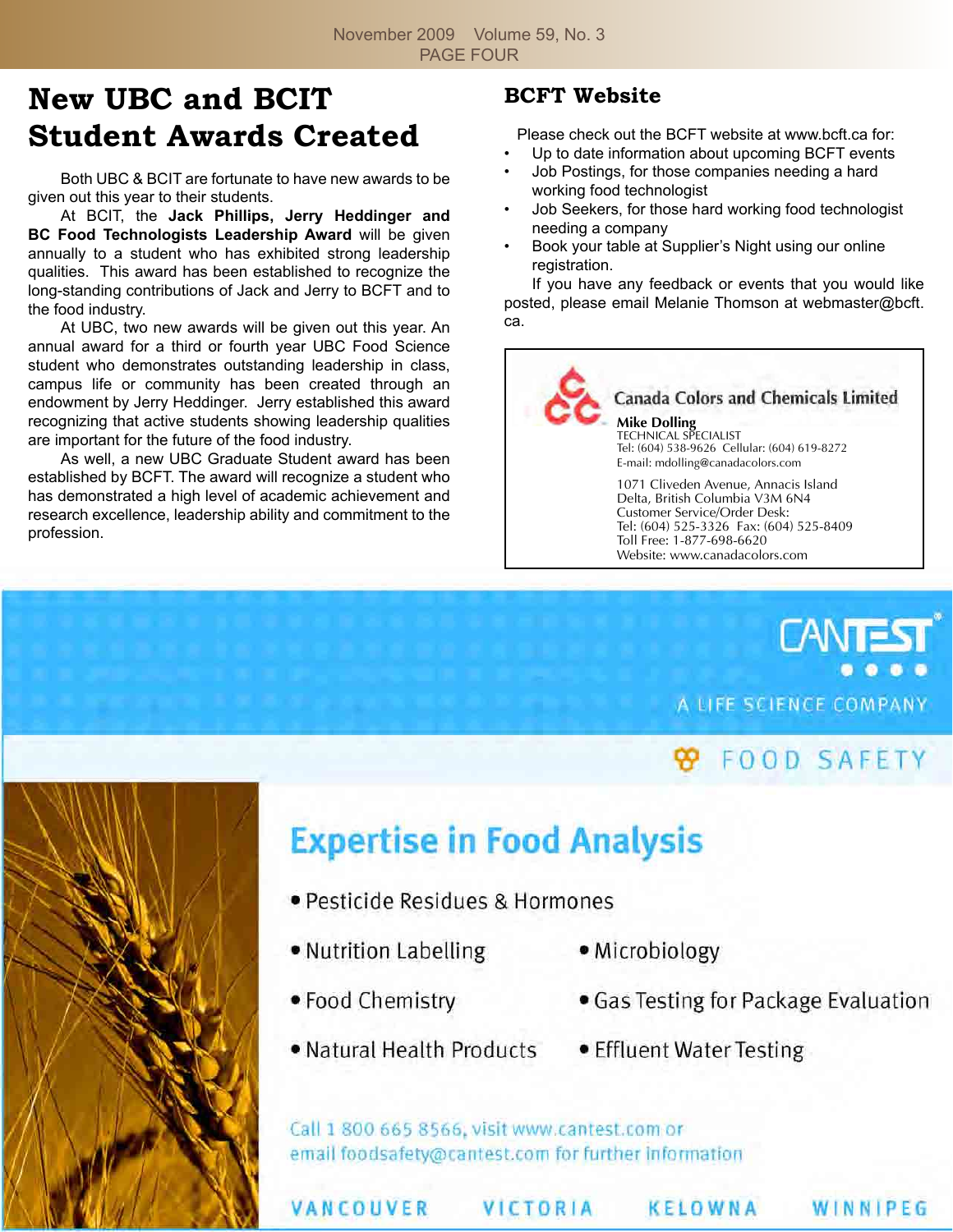## **New UBC and BCIT Student Awards Created**

 Both UBC & BCIT are fortunate to have new awards to be given out this year to their students.

 At BCIT, the **Jack Phillips, Jerry Heddinger and BC Food Technologists Leadership Award** will be given annually to a student who has exhibited strong leadership qualities. This award has been established to recognize the long-standing contributions of Jack and Jerry to BCFT and to the food industry.

 At UBC, two new awards will be given out this year. An annual award for a third or fourth year UBC Food Science student who demonstrates outstanding leadership in class, campus life or community has been created through an endowment by Jerry Heddinger. Jerry established this award recognizing that active students showing leadership qualities are important for the future of the food industry.

 As well, a new UBC Graduate Student award has been established by BCFT. The award will recognize a student who has demonstrated a high level of academic achievement and research excellence, leadership ability and commitment to the profession.

### **BCFT Website**

Please check out the BCFT website at www.bcft.ca for:

- Up to date information about upcoming BCFT events
- Job Postings, for those companies needing a hard working food technologist
- Job Seekers, for those hard working food technologist needing a company
- Book your table at Supplier's Night using our online registration.

 If you have any feedback or events that you would like posted, please email Melanie Thomson at webmaster@bcft. ca.



**CANTE** A LIFE SCIENCE COMPANY

# **99 FOOD SAFETY**



# **Expertise in Food Analysis**

- Pesticide Residues & Hormones
- Nutrition Labelling
- Food Chemistry
- Natural Health Products
- · Microbiology
- Gas Testing for Package Evaluation
- Effluent Water Testing

Call 1 800 665 8566, visit www.cantest.com or email foodsafety@cantest.com for further information

VANCOUVER

VICTORIA

KELOWNA

WINNIPEG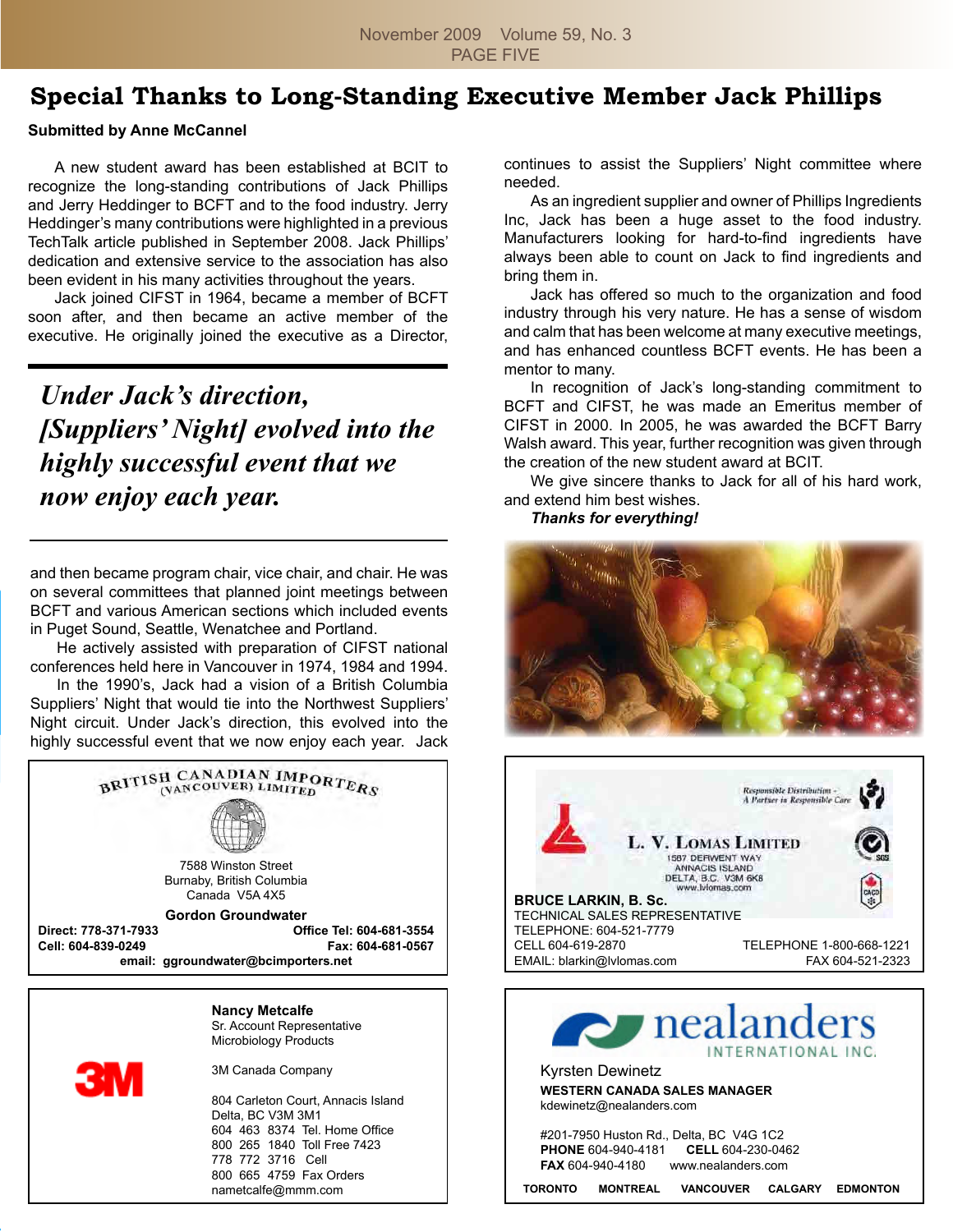### **Special Thanks to Long-Standing Executive Member Jack Phillips**

#### **Submitted by Anne McCannel**

 A new student award has been established at BCIT to recognize the long-standing contributions of Jack Phillips and Jerry Heddinger to BCFT and to the food industry. Jerry Heddinger's many contributions were highlighted in a previous TechTalk article published in September 2008. Jack Phillips' dedication and extensive service to the association has also been evident in his many activities throughout the years.

 Jack joined CIFST in 1964, became a member of BCFT soon after, and then became an active member of the executive. He originally joined the executive as a Director,

*Under Jack's direction, [Suppliers' Night] evolved into the highly successful event that we now enjoy each year.*

and then became program chair, vice chair, and chair. He was on several committees that planned joint meetings between BCFT and various American sections which included events in Puget Sound, Seattle, Wenatchee and Portland.

 He actively assisted with preparation of CIFST national conferences held here in Vancouver in 1974, 1984 and 1994.

 In the 1990's, Jack had a vision of a British Columbia Suppliers' Night that would tie into the Northwest Suppliers' Night circuit. Under Jack's direction, this evolved into the highly successful event that we now enjoy each year. Jack



**Nancy Metcalfe** Sr. Account Representative Microbiology Products

3M Canada Company

804 Carleton Court, Annacis Island Delta, BC V3M 3M1 604 463 8374 Tel. Home Office 800 265 1840 Toll Free 7423 778 772 3716 Cell 800 665 4759 Fax Orders nametcalfe@mmm.com

continues to assist the Suppliers' Night committee where needed.

 As an ingredient supplier and owner of Phillips Ingredients Inc, Jack has been a huge asset to the food industry. Manufacturers looking for hard-to-find ingredients have always been able to count on Jack to find ingredients and bring them in.

 Jack has offered so much to the organization and food industry through his very nature. He has a sense of wisdom and calm that has been welcome at many executive meetings, and has enhanced countless BCFT events. He has been a mentor to many.

 In recognition of Jack's long-standing commitment to BCFT and CIFST, he was made an Emeritus member of CIFST in 2000. In 2005, he was awarded the BCFT Barry Walsh award. This year, further recognition was given through the creation of the new student award at BCIT.

 We give sincere thanks to Jack for all of his hard work, and extend him best wishes.

#### *Thanks for everything!*





Kyrsten Dewinetz **WESTERN CANADA SALES MANAGER** kdewinetz@nealanders.com

#201-7950 Huston Rd., Delta, BC V4G 1C2 **PHONE** 604-940-4181 **CELL** 604-230-0462 **FAX** 604-940-4180 www.nealanders.com

**TORONTO MONTREAL VANCOUVER CALGARY EDMONTON**

INTERNATIONAL INC.